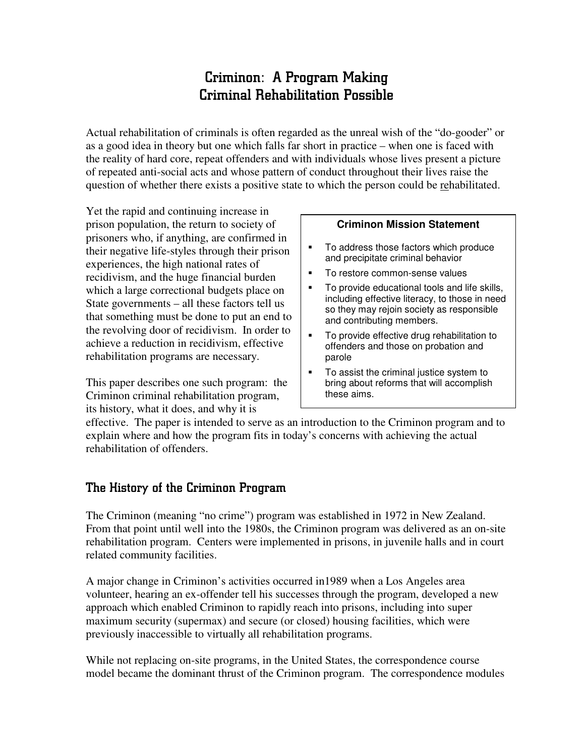# Criminon: A Program Making Criminal Rehabilitation Possible

Actual rehabilitation of criminals is often regarded as the unreal wish of the "do-gooder" or as a good idea in theory but one which falls far short in practice – when one is faced with the reality of hard core, repeat offenders and with individuals whose lives present a picture of repeated anti-social acts and whose pattern of conduct throughout their lives raise the question of whether there exists a positive state to which the person could be rehabilitated.

Yet the rapid and continuing increase in prison population, the return to society of prisoners who, if anything, are confirmed in their negative life-styles through their prison experiences, the high national rates of recidivism, and the huge financial burden which a large correctional budgets place on State governments – all these factors tell us that something must be done to put an end to the revolving door of recidivism. In order to achieve a reduction in recidivism, effective rehabilitation programs are necessary.

This paper describes one such program: the Criminon criminal rehabilitation program, its history, what it does, and why it is

#### **Criminon Mission Statement**

- To address those factors which produce and precipitate criminal behavior
- **To restore common-sense values**
- **To provide educational tools and life skills,** including effective literacy, to those in need so they may rejoin society as responsible and contributing members.
- **To provide effective drug rehabilitation to** offenders and those on probation and parole
- To assist the criminal justice system to bring about reforms that will accomplish these aims.

effective. The paper is intended to serve as an introduction to the Criminon program and to explain where and how the program fits in today's concerns with achieving the actual rehabilitation of offenders.

## The History of the Criminon Program

The Criminon (meaning "no crime") program was established in 1972 in New Zealand. From that point until well into the 1980s, the Criminon program was delivered as an on-site rehabilitation program. Centers were implemented in prisons, in juvenile halls and in court related community facilities.

A major change in Criminon's activities occurred in1989 when a Los Angeles area volunteer, hearing an ex-offender tell his successes through the program, developed a new approach which enabled Criminon to rapidly reach into prisons, including into super maximum security (supermax) and secure (or closed) housing facilities, which were previously inaccessible to virtually all rehabilitation programs.

While not replacing on-site programs, in the United States, the correspondence course model became the dominant thrust of the Criminon program. The correspondence modules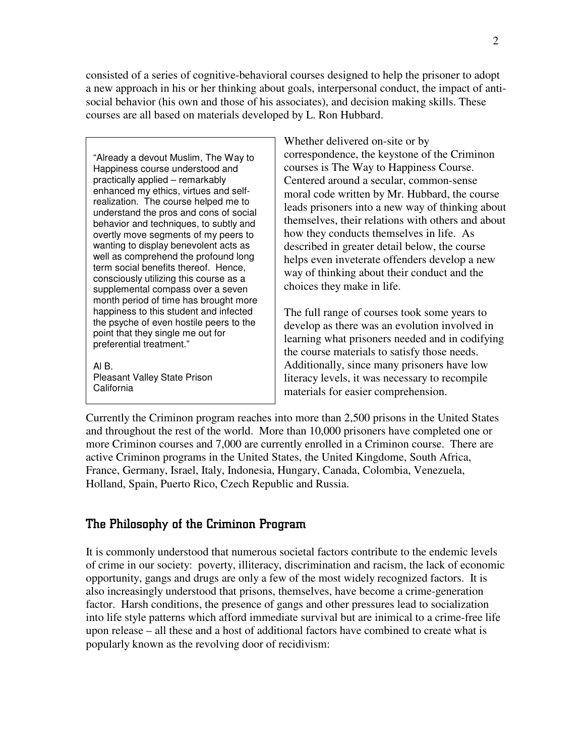consisted of a series of cognitive-behavioral courses designed to help the prisoner to adopt a new approach in his or her thinking about goals, interpersonal conduct, the impact of antisocial behavior (his own and those of his associates), and decision making skills. These courses are all based on materials developed by L. Ron Hubbard.

"Already a devout Muslim, The Way to Happiness course understood and practically applied – remarkably enhanced my ethics, virtues and selfrealization. The course helped me to understand the pros and cons of social behavior and techniques, to subtly and overtly move segments of my peers to wanting to display benevolent acts as well as comprehend the profound long term social benefits thereof. Hence, consciously utilizing this course as a supplemental compass over a seven month period of time has brought more happiness to this student and infected the psyche of even hostile peers to the point that they single me out for preferential treatment."

Al B. Pleasant Valley State Prison California

Whether delivered on-site or by correspondence, the keystone of the Criminon courses is The Way to Happiness Course. Centered around a secular, common-sense moral code written by Mr. Hubbard, the course leads prisoners into a new way of thinking about themselves, their relations with others and about how they conducts themselves in life. As described in greater detail below, the course helps even inveterate offenders develop a new way of thinking about their conduct and the choices they make in life.

The full range of courses took some years to develop as there was an evolution involved in learning what prisoners needed and in codifying the course materials to satisfy those needs. Additionally, since many prisoners have low literacy levels, it was necessary to recompile materials for easier comprehension.

Currently the Criminon program reaches into more than 2,500 prisons in the United States and throughout the rest of the world. More than 10,000 prisoners have completed one or more Criminon courses and 7,000 are currently enrolled in a Criminon course. There are active Criminon programs in the United States, the United Kingdome, South Africa, France, Germany, Israel, Italy, Indonesia, Hungary, Canada, Colombia, Venezuela, Holland, Spain, Puerto Rico, Czech Republic and Russia.

## The Philosophy of the Criminon Program

It is commonly understood that numerous societal factors contribute to the endemic levels of crime in our society: poverty, illiteracy, discrimination and racism, the lack of economic opportunity, gangs and drugs are only a few of the most widely recognized factors. It is also increasingly understood that prisons, themselves, have become a crime-generation factor. Harsh conditions, the presence of gangs and other pressures lead to socialization into life style patterns which afford immediate survival but are inimical to a crime-free life upon release – all these and a host of additional factors have combined to create what is popularly known as the revolving door of recidivism: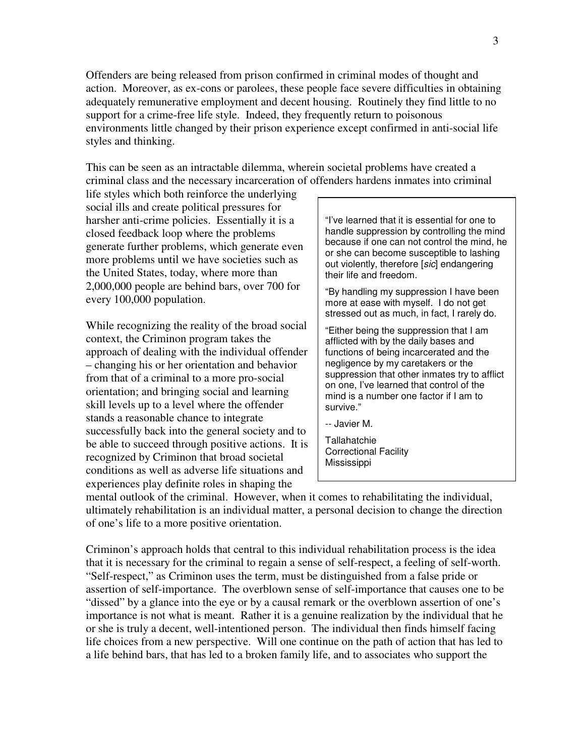Offenders are being released from prison confirmed in criminal modes of thought and action. Moreover, as ex-cons or parolees, these people face severe difficulties in obtaining adequately remunerative employment and decent housing. Routinely they find little to no support for a crime-free life style. Indeed, they frequently return to poisonous environments little changed by their prison experience except confirmed in anti-social life styles and thinking.

This can be seen as an intractable dilemma, wherein societal problems have created a criminal class and the necessary incarceration of offenders hardens inmates into criminal

life styles which both reinforce the underlying social ills and create political pressures for harsher anti-crime policies. Essentially it is a closed feedback loop where the problems generate further problems, which generate even more problems until we have societies such as the United States, today, where more than 2,000,000 people are behind bars, over 700 for every 100,000 population.

While recognizing the reality of the broad social context, the Criminon program takes the approach of dealing with the individual offender – changing his or her orientation and behavior from that of a criminal to a more pro-social orientation; and bringing social and learning skill levels up to a level where the offender stands a reasonable chance to integrate successfully back into the general society and to be able to succeed through positive actions. It is recognized by Criminon that broad societal conditions as well as adverse life situations and experiences play definite roles in shaping the

"I've learned that it is essential for one to handle suppression by controlling the mind because if one can not control the mind, he or she can become susceptible to lashing out violently, therefore [*sic*] endangering their life and freedom.

"By handling my suppression I have been more at ease with myself. I do not get stressed out as much, in fact, I rarely do.

"Either being the suppression that I am afflicted with by the daily bases and functions of being incarcerated and the negligence by my caretakers or the suppression that other inmates try to afflict on one, I've learned that control of the mind is a number one factor if I am to survive."

-- Javier M.

**Tallahatchie** Correctional Facility Mississippi

mental outlook of the criminal. However, when it comes to rehabilitating the individual, ultimately rehabilitation is an individual matter, a personal decision to change the direction of one's life to a more positive orientation.

Criminon's approach holds that central to this individual rehabilitation process is the idea that it is necessary for the criminal to regain a sense of self-respect, a feeling of self-worth. "Self-respect," as Criminon uses the term, must be distinguished from a false pride or assertion of self-importance. The overblown sense of self-importance that causes one to be "dissed" by a glance into the eye or by a causal remark or the overblown assertion of one's importance is not what is meant. Rather it is a genuine realization by the individual that he or she is truly a decent, well-intentioned person. The individual then finds himself facing life choices from a new perspective. Will one continue on the path of action that has led to a life behind bars, that has led to a broken family life, and to associates who support the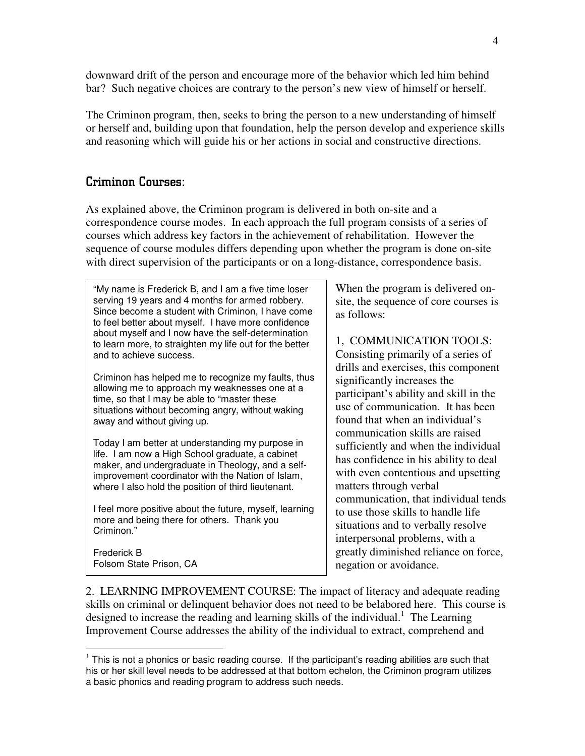downward drift of the person and encourage more of the behavior which led him behind bar? Such negative choices are contrary to the person's new view of himself or herself.

The Criminon program, then, seeks to bring the person to a new understanding of himself or herself and, building upon that foundation, help the person develop and experience skills and reasoning which will guide his or her actions in social and constructive directions.

#### Criminon Courses:

As explained above, the Criminon program is delivered in both on-site and a correspondence course modes. In each approach the full program consists of a series of courses which address key factors in the achievement of rehabilitation. However the sequence of course modules differs depending upon whether the program is done on-site with direct supervision of the participants or on a long-distance, correspondence basis.

"My name is Frederick B, and I am a five time loser serving 19 years and 4 months for armed robbery. Since become a student with Criminon, I have come to feel better about myself. I have more confidence about myself and I now have the self-determination to learn more, to straighten my life out for the better and to achieve success.

Criminon has helped me to recognize my faults, thus allowing me to approach my weaknesses one at a time, so that I may be able to "master these situations without becoming angry, without waking away and without giving up.

Today I am better at understanding my purpose in life. I am now a High School graduate, a cabinet maker, and undergraduate in Theology, and a selfimprovement coordinator with the Nation of Islam, where I also hold the position of third lieutenant.

I feel more positive about the future, myself, learning more and being there for others. Thank you Criminon."

Frederick B Folsom State Prison, CA When the program is delivered onsite, the sequence of core courses is as follows:

1, COMMUNICATION TOOLS: Consisting primarily of a series of drills and exercises, this component significantly increases the participant's ability and skill in the use of communication. It has been found that when an individual's communication skills are raised sufficiently and when the individual has confidence in his ability to deal with even contentious and upsetting matters through verbal communication, that individual tends to use those skills to handle life situations and to verbally resolve interpersonal problems, with a greatly diminished reliance on force, negation or avoidance.

2. LEARNING IMPROVEMENT COURSE: The impact of literacy and adequate reading skills on criminal or delinquent behavior does not need to be belabored here. This course is designed to increase the reading and learning skills of the individual.<sup>1</sup> The Learning Improvement Course addresses the ability of the individual to extract, comprehend and

 $1$  This is not a phonics or basic reading course. If the participant's reading abilities are such that his or her skill level needs to be addressed at that bottom echelon, the Criminon program utilizes a basic phonics and reading program to address such needs.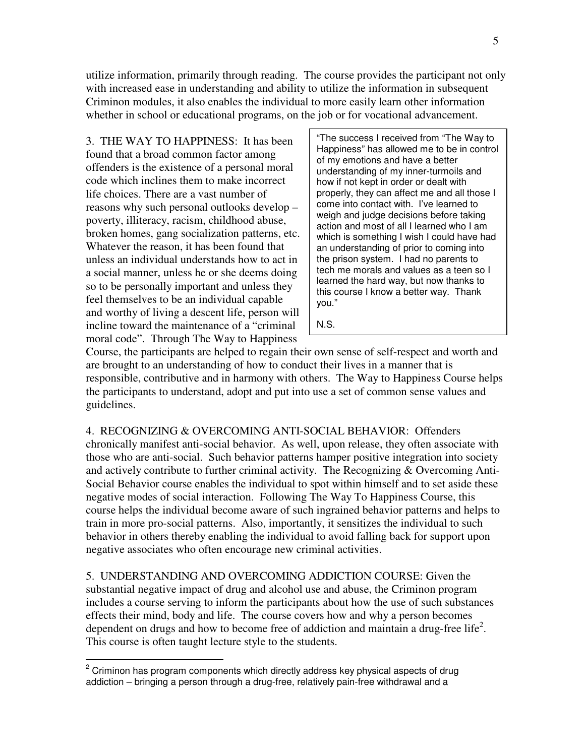utilize information, primarily through reading. The course provides the participant not only with increased ease in understanding and ability to utilize the information in subsequent Criminon modules, it also enables the individual to more easily learn other information whether in school or educational programs, on the job or for vocational advancement.

3. THE WAY TO HAPPINESS: It has been found that a broad common factor among offenders is the existence of a personal moral code which inclines them to make incorrect life choices. There are a vast number of reasons why such personal outlooks develop – poverty, illiteracy, racism, childhood abuse, broken homes, gang socialization patterns, etc. Whatever the reason, it has been found that unless an individual understands how to act in a social manner, unless he or she deems doing so to be personally important and unless they feel themselves to be an individual capable and worthy of living a descent life, person will incline toward the maintenance of a "criminal moral code". Through The Way to Happiness

"The success I received from "The Way to Happiness" has allowed me to be in control of my emotions and have a better understanding of my inner-turmoils and how if not kept in order or dealt with properly, they can affect me and all those I come into contact with. I've learned to weigh and judge decisions before taking action and most of all I learned who I am which is something I wish I could have had an understanding of prior to coming into the prison system. I had no parents to tech me morals and values as a teen so I learned the hard way, but now thanks to this course I know a better way. Thank you."

N.S.

Course, the participants are helped to regain their own sense of self-respect and worth and are brought to an understanding of how to conduct their lives in a manner that is responsible, contributive and in harmony with others. The Way to Happiness Course helps the participants to understand, adopt and put into use a set of common sense values and guidelines.

4. RECOGNIZING & OVERCOMING ANTI-SOCIAL BEHAVIOR: Offenders chronically manifest anti-social behavior. As well, upon release, they often associate with those who are anti-social. Such behavior patterns hamper positive integration into society and actively contribute to further criminal activity. The Recognizing & Overcoming Anti-Social Behavior course enables the individual to spot within himself and to set aside these negative modes of social interaction. Following The Way To Happiness Course, this course helps the individual become aware of such ingrained behavior patterns and helps to train in more pro-social patterns. Also, importantly, it sensitizes the individual to such behavior in others thereby enabling the individual to avoid falling back for support upon negative associates who often encourage new criminal activities.

5. UNDERSTANDING AND OVERCOMING ADDICTION COURSE: Given the substantial negative impact of drug and alcohol use and abuse, the Criminon program includes a course serving to inform the participants about how the use of such substances effects their mind, body and life. The course covers how and why a person becomes dependent on drugs and how to become free of addiction and maintain a drug-free life<sup>2</sup>. This course is often taught lecture style to the students.

 $2$  Criminon has program components which directly address key physical aspects of drug addiction – bringing a person through a drug-free, relatively pain-free withdrawal and a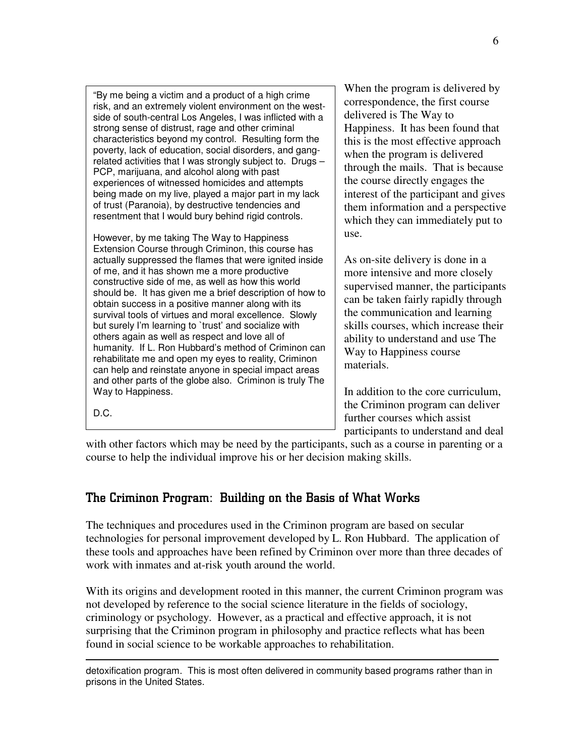"By me being a victim and a product of a high crime risk, and an extremely violent environment on the westside of south-central Los Angeles, I was inflicted with a strong sense of distrust, rage and other criminal characteristics beyond my control. Resulting form the poverty, lack of education, social disorders, and gangrelated activities that I was strongly subject to. Drugs – PCP, marijuana, and alcohol along with past experiences of witnessed homicides and attempts being made on my live, played a major part in my lack of trust (Paranoia), by destructive tendencies and resentment that I would bury behind rigid controls.

However, by me taking The Way to Happiness Extension Course through Criminon, this course has actually suppressed the flames that were ignited inside of me, and it has shown me a more productive constructive side of me, as well as how this world should be. It has given me a brief description of how to obtain success in a positive manner along with its survival tools of virtues and moral excellence. Slowly but surely I'm learning to 'trust' and socialize with others again as well as respect and love all of humanity. If L. Ron Hubbard's method of Criminon can rehabilitate me and open my eyes to reality, Criminon can help and reinstate anyone in special impact areas and other parts of the globe also. Criminon is truly The Way to Happiness.

When the program is delivered by correspondence, the first course delivered is The Way to Happiness. It has been found that this is the most effective approach when the program is delivered through the mails. That is because the course directly engages the interest of the participant and gives them information and a perspective which they can immediately put to use.

As on-site delivery is done in a more intensive and more closely supervised manner, the participants can be taken fairly rapidly through the communication and learning skills courses, which increase their ability to understand and use The Way to Happiness course materials.

In addition to the core curriculum, the Criminon program can deliver further courses which assist participants to understand and deal

with other factors which may be need by the participants, such as a course in parenting or a course to help the individual improve his or her decision making skills.

# The Criminon Program: Building on the Basis of What Works

The techniques and procedures used in the Criminon program are based on secular technologies for personal improvement developed by L. Ron Hubbard. The application of these tools and approaches have been refined by Criminon over more than three decades of work with inmates and at-risk youth around the world.

With its origins and development rooted in this manner, the current Criminon program was not developed by reference to the social science literature in the fields of sociology, criminology or psychology. However, as a practical and effective approach, it is not surprising that the Criminon program in philosophy and practice reflects what has been found in social science to be workable approaches to rehabilitation.

D.C.

detoxification program. This is most often delivered in community based programs rather than in prisons in the United States.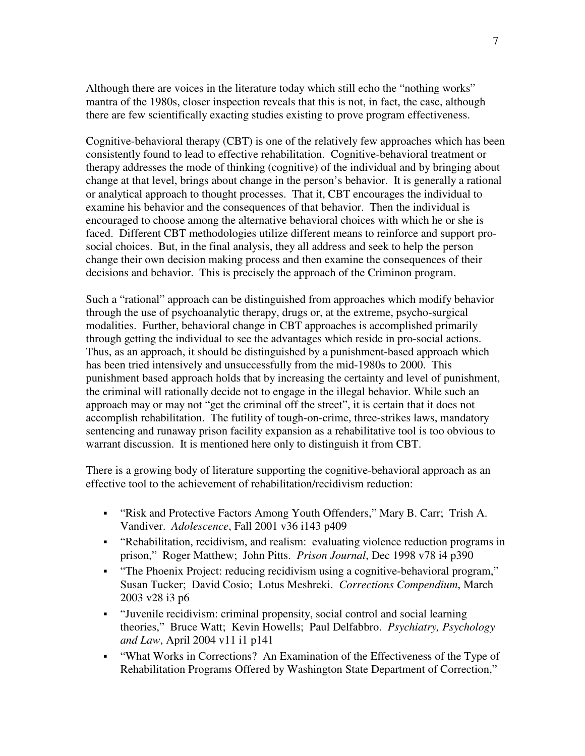Although there are voices in the literature today which still echo the "nothing works" mantra of the 1980s, closer inspection reveals that this is not, in fact, the case, although there are few scientifically exacting studies existing to prove program effectiveness.

Cognitive-behavioral therapy (CBT) is one of the relatively few approaches which has been consistently found to lead to effective rehabilitation. Cognitive-behavioral treatment or therapy addresses the mode of thinking (cognitive) of the individual and by bringing about change at that level, brings about change in the person's behavior. It is generally a rational or analytical approach to thought processes. That it, CBT encourages the individual to examine his behavior and the consequences of that behavior. Then the individual is encouraged to choose among the alternative behavioral choices with which he or she is faced. Different CBT methodologies utilize different means to reinforce and support prosocial choices. But, in the final analysis, they all address and seek to help the person change their own decision making process and then examine the consequences of their decisions and behavior. This is precisely the approach of the Criminon program.

Such a "rational" approach can be distinguished from approaches which modify behavior through the use of psychoanalytic therapy, drugs or, at the extreme, psycho-surgical modalities. Further, behavioral change in CBT approaches is accomplished primarily through getting the individual to see the advantages which reside in pro-social actions. Thus, as an approach, it should be distinguished by a punishment-based approach which has been tried intensively and unsuccessfully from the mid-1980s to 2000. This punishment based approach holds that by increasing the certainty and level of punishment, the criminal will rationally decide not to engage in the illegal behavior. While such an approach may or may not "get the criminal off the street", it is certain that it does not accomplish rehabilitation. The futility of tough-on-crime, three-strikes laws, mandatory sentencing and runaway prison facility expansion as a rehabilitative tool is too obvious to warrant discussion. It is mentioned here only to distinguish it from CBT.

There is a growing body of literature supporting the cognitive-behavioral approach as an effective tool to the achievement of rehabilitation/recidivism reduction:

- "Risk and Protective Factors Among Youth Offenders," Mary B. Carr; Trish A. Vandiver. *Adolescence*, Fall 2001 v36 i143 p409
- "Rehabilitation, recidivism, and realism: evaluating violence reduction programs in prison," Roger Matthew; John Pitts. *Prison Journal*, Dec 1998 v78 i4 p390
- "The Phoenix Project: reducing recidivism using a cognitive-behavioral program," Susan Tucker; David Cosio; Lotus Meshreki. *Corrections Compendium*, March 2003 v28 i3 p6
- "Juvenile recidivism: criminal propensity, social control and social learning theories," Bruce Watt; Kevin Howells; Paul Delfabbro. *Psychiatry, Psychology and Law*, April 2004 v11 i1 p141
- "What Works in Corrections? An Examination of the Effectiveness of the Type of Rehabilitation Programs Offered by Washington State Department of Correction,"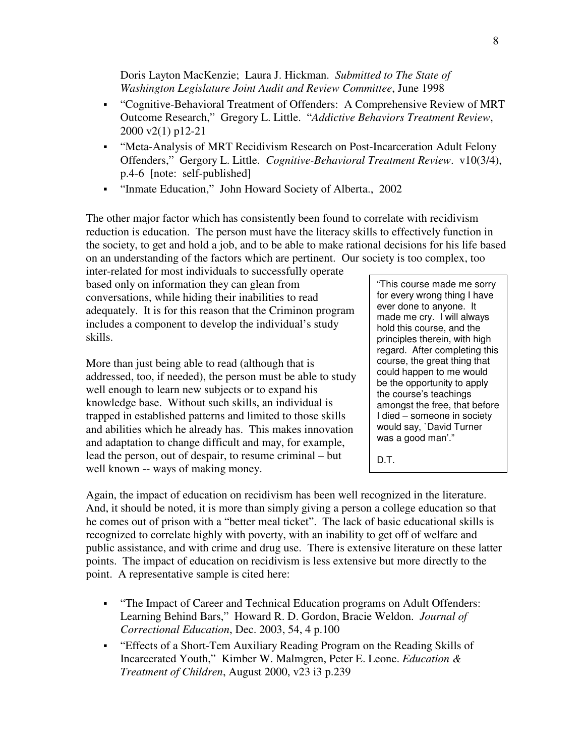Doris Layton MacKenzie; Laura J. Hickman. *Submitted to The State of Washington Legislature Joint Audit and Review Committee*, June 1998

- "Cognitive-Behavioral Treatment of Offenders: A Comprehensive Review of MRT Outcome Research," Gregory L. Little. "*Addictive Behaviors Treatment Review*, 2000 v2(1) p12-21
- "Meta-Analysis of MRT Recidivism Research on Post-Incarceration Adult Felony Offenders," Gergory L. Little. *Cognitive-Behavioral Treatment Review*. v10(3/4), p.4-6 [note: self-published]
- "Inmate Education," John Howard Society of Alberta., 2002

The other major factor which has consistently been found to correlate with recidivism reduction is education. The person must have the literacy skills to effectively function in the society, to get and hold a job, and to be able to make rational decisions for his life based on an understanding of the factors which are pertinent. Our society is too complex, too

inter-related for most individuals to successfully operate based only on information they can glean from conversations, while hiding their inabilities to read adequately. It is for this reason that the Criminon program includes a component to develop the individual's study skills.

More than just being able to read (although that is addressed, too, if needed), the person must be able to study well enough to learn new subjects or to expand his knowledge base. Without such skills, an individual is trapped in established patterns and limited to those skills and abilities which he already has. This makes innovation and adaptation to change difficult and may, for example, lead the person, out of despair, to resume criminal – but well known -- ways of making money.

"This course made me sorry for every wrong thing I have ever done to anyone. It made me cry. I will always hold this course, and the principles therein, with high regard. After completing this course, the great thing that could happen to me would be the opportunity to apply the course's teachings amongst the free, that before I died – someone in society would say, `David Turner was a good man'."

D.T.

Again, the impact of education on recidivism has been well recognized in the literature. And, it should be noted, it is more than simply giving a person a college education so that he comes out of prison with a "better meal ticket". The lack of basic educational skills is recognized to correlate highly with poverty, with an inability to get off of welfare and public assistance, and with crime and drug use. There is extensive literature on these latter points. The impact of education on recidivism is less extensive but more directly to the point. A representative sample is cited here:

- "The Impact of Career and Technical Education programs on Adult Offenders: Learning Behind Bars," Howard R. D. Gordon, Bracie Weldon. *Journal of Correctional Education*, Dec. 2003, 54, 4 p.100
- "Effects of a Short-Tem Auxiliary Reading Program on the Reading Skills of Incarcerated Youth," Kimber W. Malmgren, Peter E. Leone. *Education & Treatment of Children*, August 2000, v23 i3 p.239